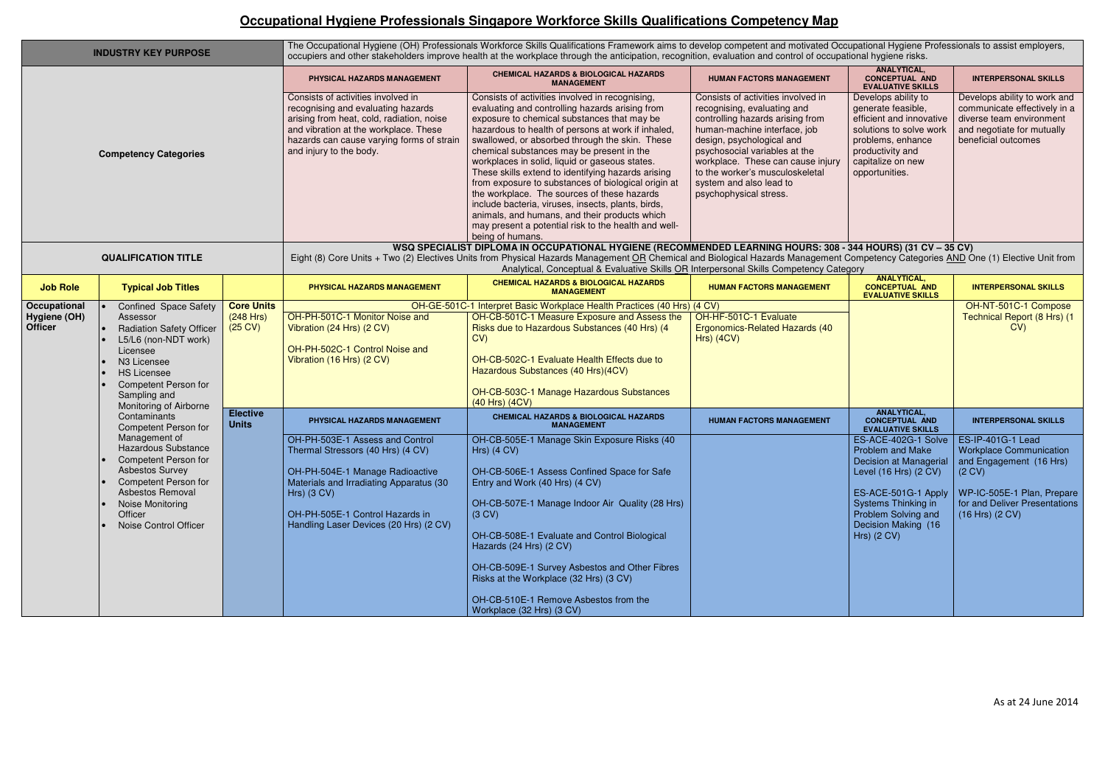## **Occupational Hygiene Professionals Singapore Workforce Skills Qualifications Competency Map**

| <b>INDUSTRY KEY PURPOSE</b>    |                                                                                                                                                                                                                 |                                                     | The Occupational Hygiene (OH) Professionals Workforce Skills Qualifications Framework aims to develop competent and motivated Occupational Hygiene Professionals to assist employers,<br>occupiers and other stakeholders improve health at the workplace through the anticipation, recognition, evaluation and control of occupational hygiene risks.                                       |                                                                                                                                                                                                                                                                                                                                                                                                                                                                                                                                                                                                                                                                                                         |                                                                                                                                                                                                                                                                                                                                  |                                                                                                                                                                                                                         |                                                                                                                                                                                                               |  |  |  |
|--------------------------------|-----------------------------------------------------------------------------------------------------------------------------------------------------------------------------------------------------------------|-----------------------------------------------------|----------------------------------------------------------------------------------------------------------------------------------------------------------------------------------------------------------------------------------------------------------------------------------------------------------------------------------------------------------------------------------------------|---------------------------------------------------------------------------------------------------------------------------------------------------------------------------------------------------------------------------------------------------------------------------------------------------------------------------------------------------------------------------------------------------------------------------------------------------------------------------------------------------------------------------------------------------------------------------------------------------------------------------------------------------------------------------------------------------------|----------------------------------------------------------------------------------------------------------------------------------------------------------------------------------------------------------------------------------------------------------------------------------------------------------------------------------|-------------------------------------------------------------------------------------------------------------------------------------------------------------------------------------------------------------------------|---------------------------------------------------------------------------------------------------------------------------------------------------------------------------------------------------------------|--|--|--|
| <b>Competency Categories</b>   |                                                                                                                                                                                                                 |                                                     | PHYSICAL HAZARDS MANAGEMENT                                                                                                                                                                                                                                                                                                                                                                  | <b>CHEMICAL HAZARDS &amp; BIOLOGICAL HAZARDS</b><br><b>MANAGEMENT</b>                                                                                                                                                                                                                                                                                                                                                                                                                                                                                                                                                                                                                                   | <b>HUMAN FACTORS MANAGEMENT</b>                                                                                                                                                                                                                                                                                                  | <b>ANALYTICAL,</b><br><b>CONCEPTUAL AND</b><br><b>EVALUATIVE SKILLS</b>                                                                                                                                                 | <b>INTERPERSONAL SKILLS</b>                                                                                                                                                                                   |  |  |  |
|                                |                                                                                                                                                                                                                 |                                                     | Consists of activities involved in<br>recognising and evaluating hazards<br>arising from heat, cold, radiation, noise<br>and vibration at the workplace. These<br>hazards can cause varying forms of strain<br>and injury to the body.                                                                                                                                                       | Consists of activities involved in recognising,<br>evaluating and controlling hazards arising from<br>exposure to chemical substances that may be<br>hazardous to health of persons at work if inhaled,<br>swallowed, or absorbed through the skin. These<br>chemical substances may be present in the<br>workplaces in solid, liquid or gaseous states.<br>These skills extend to identifying hazards arising<br>from exposure to substances of biological origin at<br>the workplace. The sources of these hazards<br>include bacteria, viruses, insects, plants, birds,<br>animals, and humans, and their products which<br>may present a potential risk to the health and well-<br>being of humans. | Consists of activities involved in<br>recognising, evaluating and<br>controlling hazards arising from<br>human-machine interface, job<br>design, psychological and<br>psychosocial variables at the<br>workplace. These can cause injury<br>to the worker's musculoskeletal<br>system and also lead to<br>psychophysical stress. | Develops ability to<br>generate feasible,<br>efficient and innovative<br>solutions to solve work<br>problems, enhance<br>productivity and<br>capitalize on new<br>opportunities.                                        | Develops ability to work and<br>communicate effectively in a<br>diverse team environment<br>and negotiate for mutually<br>beneficial outcomes                                                                 |  |  |  |
|                                | <b>QUALIFICATION TITLE</b>                                                                                                                                                                                      |                                                     | WSQ SPECIALIST DIPLOMA IN OCCUPATIONAL HYGIENE (RECOMMENDED LEARNING HOURS: 308 - 344 HOURS) (31 CV - 35 CV)<br>Eight (8) Core Units + Two (2) Electives Units from Physical Hazards Management OR Chemical and Biological Hazards Management Competency Categories AND One (1) Elective Unit from<br>Analytical, Conceptual & Evaluative Skills OR Interpersonal Skills Competency Category |                                                                                                                                                                                                                                                                                                                                                                                                                                                                                                                                                                                                                                                                                                         |                                                                                                                                                                                                                                                                                                                                  |                                                                                                                                                                                                                         |                                                                                                                                                                                                               |  |  |  |
| <b>Job Role</b>                | <b>Typical Job Titles</b>                                                                                                                                                                                       |                                                     | PHYSICAL HAZARDS MANAGEMENT                                                                                                                                                                                                                                                                                                                                                                  | <b>CHEMICAL HAZARDS &amp; BIOLOGICAL HAZARDS</b><br><b>MANAGEMENT</b>                                                                                                                                                                                                                                                                                                                                                                                                                                                                                                                                                                                                                                   | <b>HUMAN FACTORS MANAGEMENT</b>                                                                                                                                                                                                                                                                                                  | <b>ANALYTICAL,</b><br><b>CONCEPTUAL AND</b><br><b>EVALUATIVE SKILLS</b>                                                                                                                                                 | <b>INTERPERSONAL SKILLS</b>                                                                                                                                                                                   |  |  |  |
| Occupational                   | <b>Confined Space Safety</b>                                                                                                                                                                                    | <b>Core Units</b><br>(248 Hrs)<br>$(25 \text{ CV})$ |                                                                                                                                                                                                                                                                                                                                                                                              | OH-GE-501C-1 Interpret Basic Workplace Health Practices (40 Hrs) (4 CV)                                                                                                                                                                                                                                                                                                                                                                                                                                                                                                                                                                                                                                 |                                                                                                                                                                                                                                                                                                                                  |                                                                                                                                                                                                                         | OH-NT-501C-1 Compose                                                                                                                                                                                          |  |  |  |
| Hygiene (OH)<br><b>Officer</b> | Assessor<br><b>Radiation Safety Officer</b><br>L5/L6 (non-NDT work)<br>Licensee<br>N <sub>3</sub> Licensee<br><b>HS Licensee</b><br><b>Competent Person for</b><br>Sampling and                                 |                                                     | OH-PH-501C-1 Monitor Noise and<br>Vibration (24 Hrs) (2 CV)<br>OH-PH-502C-1 Control Noise and<br>Vibration (16 Hrs) (2 CV)                                                                                                                                                                                                                                                                   | OH-CB-501C-1 Measure Exposure and Assess the<br>Risks due to Hazardous Substances (40 Hrs) (4)<br>CV)<br>OH-CB-502C-1 Evaluate Health Effects due to<br>Hazardous Substances (40 Hrs)(4CV)<br>OH-CB-503C-1 Manage Hazardous Substances<br>(40 Hrs) (4CV)                                                                                                                                                                                                                                                                                                                                                                                                                                                | OH-HF-501C-1 Evaluate<br><b>Ergonomics-Related Hazards (40</b><br>$Hrs)$ (4CV)                                                                                                                                                                                                                                                   |                                                                                                                                                                                                                         | Technical Report (8 Hrs) (1<br>CV)                                                                                                                                                                            |  |  |  |
|                                | Monitoring of Airborne<br>Contaminants<br>Competent Person for                                                                                                                                                  | <b>Elective</b><br><b>Units</b>                     | PHYSICAL HAZARDS MANAGEMENT                                                                                                                                                                                                                                                                                                                                                                  | <b>CHEMICAL HAZARDS &amp; BIOLOGICAL HAZARDS</b><br><b>MANAGEMENT</b>                                                                                                                                                                                                                                                                                                                                                                                                                                                                                                                                                                                                                                   | <b>HUMAN FACTORS MANAGEMENT</b>                                                                                                                                                                                                                                                                                                  | <b>ANALYTICAL,</b><br><b>CONCEPTUAL AND</b>                                                                                                                                                                             | <b>INTERPERSONAL SKILLS</b>                                                                                                                                                                                   |  |  |  |
|                                | Management of<br><b>Hazardous Substance</b><br><b>Competent Person for</b><br><b>Asbestos Survey</b><br><b>Competent Person for</b><br>Asbestos Removal<br>Noise Monitoring<br>Officer<br>Noise Control Officer |                                                     | OH-PH-503E-1 Assess and Control<br>Thermal Stressors (40 Hrs) (4 CV)<br>OH-PH-504E-1 Manage Radioactive<br>Materials and Irradiating Apparatus (30<br>Hrs) $(3 CV)$<br>OH-PH-505E-1 Control Hazards in<br>Handling Laser Devices (20 Hrs) (2 CV)                                                                                                                                             | OH-CB-505E-1 Manage Skin Exposure Risks (40<br>Hrs) $(4 CV)$<br>OH-CB-506E-1 Assess Confined Space for Safe<br>Entry and Work (40 Hrs) (4 CV)<br>OH-CB-507E-1 Manage Indoor Air Quality (28 Hrs)<br>(3 CV)<br>OH-CB-508E-1 Evaluate and Control Biological<br>Hazards (24 Hrs) (2 CV)<br>OH-CB-509E-1 Survey Asbestos and Other Fibres<br>Risks at the Workplace (32 Hrs) (3 CV)<br>OH-CB-510E-1 Remove Asbestos from the<br>Workplace (32 Hrs) (3 CV)                                                                                                                                                                                                                                                  |                                                                                                                                                                                                                                                                                                                                  | <b>EVALUATIVE SKILLS</b><br>ES-ACE-402G-1 Solve<br><b>Problem and Make</b><br>Level (16 Hrs) (2 CV)<br>ES-ACE-501G-1 Apply<br><b>Systems Thinking in</b><br>Problem Solving and<br>Decision Making (16<br>Hrs) $(2 CV)$ | ES-IP-401G-1 Lead<br><b>Workplace Communication</b><br>Decision at Managerial   and Engagement (16 Hrs)<br>$(2 \text{ CV})$<br>WP-IC-505E-1 Plan, Prepare<br>for and Deliver Presentations<br>(16 Hrs) (2 CV) |  |  |  |